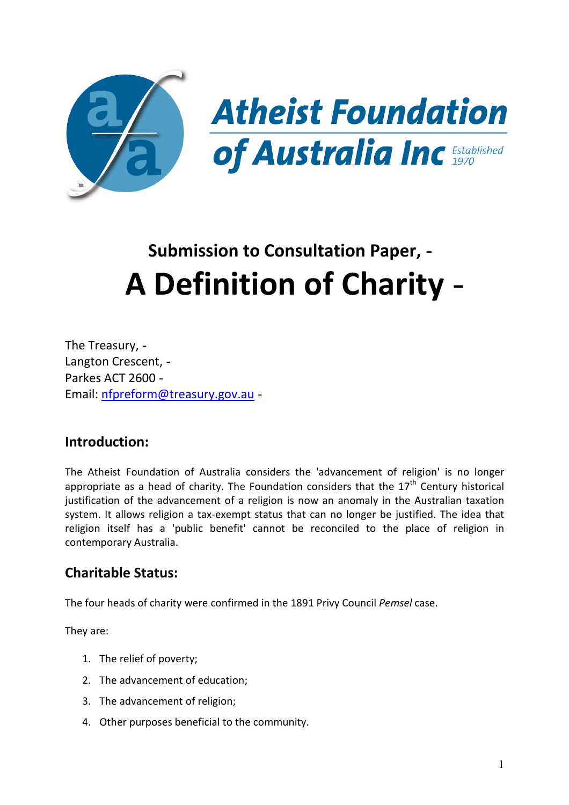

# **Submission to Consultation Paper, A Definition of Charity**

 The Treasury, Langton Crescent, Parkes ACT 2600 Email: nfpreform@treasury.gov.au -

#### **Introduction:**

 The Atheist Foundation of Australia considers the 'advancement of religion' is no longer appropriate as a head of charity. The Foundation considers that the  $17<sup>th</sup>$  Century historical justification of the advancement of a religion is now an anomaly in the Australian taxation system. It allows religion a tax-exempt status that can no longer be justified. The idea that religion itself has a 'public benefit' cannot be reconciled to the place of religion in contemporary Australia.

#### **Charitable Status:**

The four heads of charity were confirmed in the 1891 Privy Council *Pemsel* case.

They are:

- 1. The relief of poverty;
- 2. The advancement of education;
- 3. The advancement of religion;
- 4. Other purposes beneficial to the community.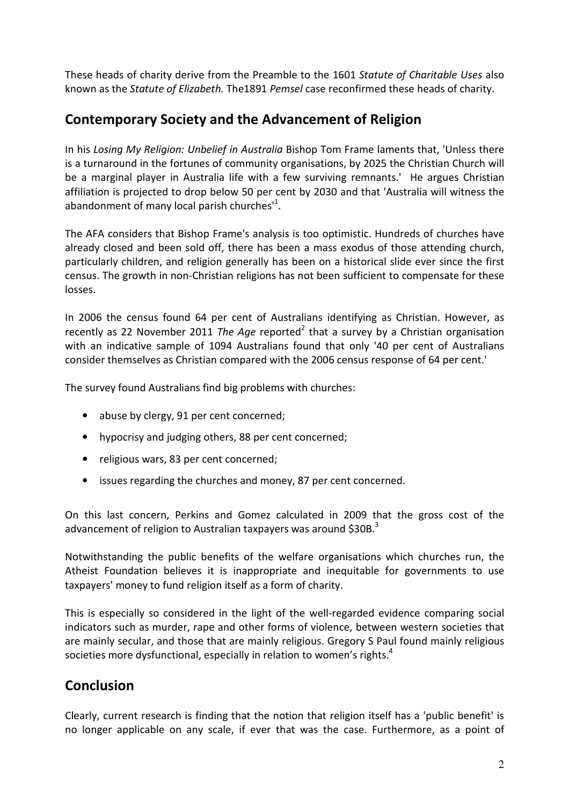These heads of charity derive from the Preamble to the 1601 *Statute of Charitable Uses* also known as the *Statute of Elizabeth.* The1891 *Pemsel* case reconfirmed these heads of charity.

### **Contemporary Society and the Advancement of Religion**

 In his *Losing My Religion: Unbelief in Australia* Bishop Tom Frame laments that, 'Unless there is a turnaround in the fortunes of community organisations, by 2025 the Christian Church will be a marginal player in Australia life with a few surviving remnants.' He argues Christian affiliation is projected to drop below 50 per cent by 2030 and that 'Australia will witness the abandonment of many local parish churches $11$ .

 The AFA considers that Bishop Frame's analysis is too optimistic. Hundreds of churches have already closed and been sold off, there has been a mass exodus of those attending church, particularly children, and religion generally has been on a historical slide ever since the first census. The growth in non-Christian religions has not been sufficient to compensate for these losses.

 In 2006 the census found 64 per cent of Australians identifying as Christian. However, as recently as 22 November 2011 The Age reported<sup>2</sup> that a survey by a Christian organisation with an indicative sample of 1094 Australians found that only '40 per cent of Australians consider themselves as Christian compared with the 2006 census response of 64 per cent.'

The survey found Australians find big problems with churches:

- abuse by clergy, 91 per cent concerned;
- hypocrisy and judging others, 88 per cent concerned;
- religious wars, 83 per cent concerned;
- issues regarding the churches and money, 87 per cent concerned.

 On this last concern, Perkins and Gomez calculated in 2009 that the gross cost of the advancement of religion to Australian taxpayers was around \$30B.<sup>3</sup>

 Notwithstanding the public benefits of the welfare organisations which churches run, the Atheist Foundation believes it is inappropriate and inequitable for governments to use taxpayers' money to fund religion itself as a form of charity.

 This is especially so considered in the light of the well-regarded evidence comparing social indicators such as murder, rape and other forms of violence, between western societies that are mainly secular, and those that are mainly religious. Gregory S Paul found mainly religious societies more dysfunctional, especially in relation to women's rights.<sup>4</sup>

## **Conclusion**

 Clearly, current research is finding that the notion that religion itself has a 'public benefit' is no longer applicable on any scale, if ever that was the case. Furthermore, as a point of